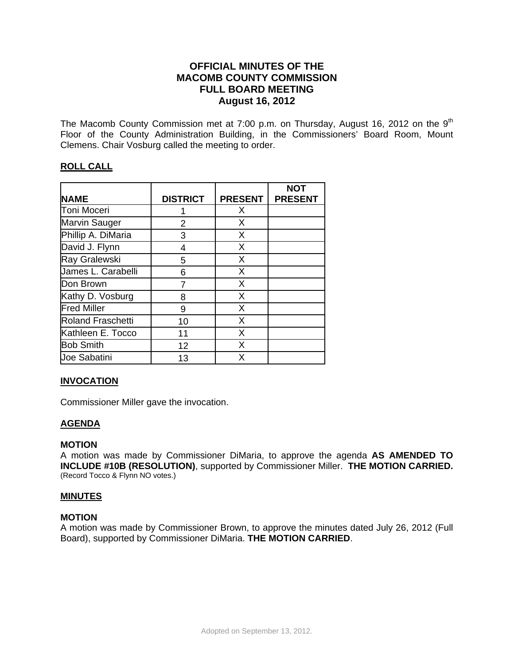# **OFFICIAL MINUTES OF THE MACOMB COUNTY COMMISSION FULL BOARD MEETING August 16, 2012**

The Macomb County Commission met at 7:00 p.m. on Thursday, August 16, 2012 on the  $9<sup>th</sup>$ Floor of the County Administration Building, in the Commissioners' Board Room, Mount Clemens. Chair Vosburg called the meeting to order.

# **ROLL CALL**

|                          |                 |                | <b>NOT</b>     |
|--------------------------|-----------------|----------------|----------------|
| <b>NAME</b>              | <b>DISTRICT</b> | <b>PRESENT</b> | <b>PRESENT</b> |
| <b>Toni Moceri</b>       |                 | X              |                |
| <b>Marvin Sauger</b>     | 2               | X              |                |
| Phillip A. DiMaria       | 3               | X              |                |
| David J. Flynn           | $\overline{4}$  | X              |                |
| Ray Gralewski            | 5               | X              |                |
| James L. Carabelli       | 6               | X              |                |
| Don Brown                | 7               | X              |                |
| Kathy D. Vosburg         | 8               | X              |                |
| <b>Fred Miller</b>       | 9               | X              |                |
| <b>Roland Fraschetti</b> | 10              | X              |                |
| Kathleen E. Tocco        | 11              | X              |                |
| <b>Bob Smith</b>         | 12              | X              |                |
| <b>Joe Sabatini</b>      | 13              | X              |                |

# **INVOCATION**

Commissioner Miller gave the invocation.

## **AGENDA**

#### **MOTION**

A motion was made by Commissioner DiMaria, to approve the agenda **AS AMENDED TO INCLUDE #10B (RESOLUTION)**, supported by Commissioner Miller. **THE MOTION CARRIED.**  (Record Tocco & Flynn NO votes.)

#### **MINUTES**

### **MOTION**

A motion was made by Commissioner Brown, to approve the minutes dated July 26, 2012 (Full Board), supported by Commissioner DiMaria. **THE MOTION CARRIED**.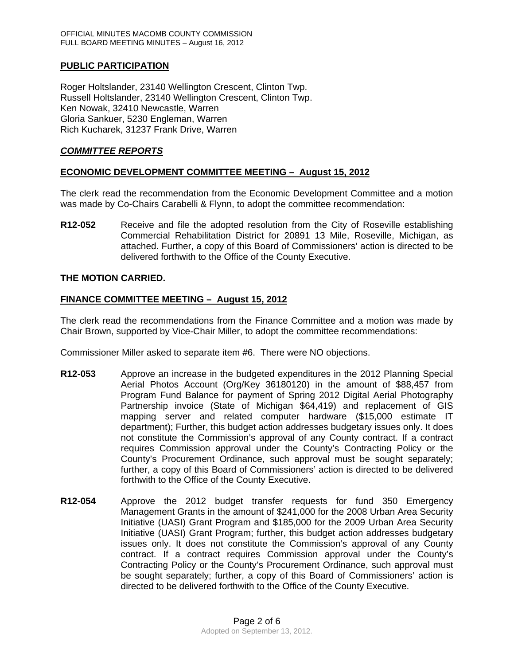## **PUBLIC PARTICIPATION**

Roger Holtslander, 23140 Wellington Crescent, Clinton Twp. Russell Holtslander, 23140 Wellington Crescent, Clinton Twp. Ken Nowak, 32410 Newcastle, Warren Gloria Sankuer, 5230 Engleman, Warren Rich Kucharek, 31237 Frank Drive, Warren

## *COMMITTEE REPORTS*

## **ECONOMIC DEVELOPMENT COMMITTEE MEETING – August 15, 2012**

The clerk read the recommendation from the Economic Development Committee and a motion was made by Co-Chairs Carabelli & Flynn, to adopt the committee recommendation:

**R12-052** Receive and file the adopted resolution from the City of Roseville establishing Commercial Rehabilitation District for 20891 13 Mile, Roseville, Michigan, as attached. Further, a copy of this Board of Commissioners' action is directed to be delivered forthwith to the Office of the County Executive.

#### **THE MOTION CARRIED.**

## **FINANCE COMMITTEE MEETING – August 15, 2012**

The clerk read the recommendations from the Finance Committee and a motion was made by Chair Brown, supported by Vice-Chair Miller, to adopt the committee recommendations:

Commissioner Miller asked to separate item #6. There were NO objections.

- **R12-053** Approve an increase in the budgeted expenditures in the 2012 Planning Special Aerial Photos Account (Org/Key 36180120) in the amount of \$88,457 from Program Fund Balance for payment of Spring 2012 Digital Aerial Photography Partnership invoice (State of Michigan \$64,419) and replacement of GIS mapping server and related computer hardware (\$15,000 estimate IT department); Further, this budget action addresses budgetary issues only. It does not constitute the Commission's approval of any County contract. If a contract requires Commission approval under the County's Contracting Policy or the County's Procurement Ordinance, such approval must be sought separately; further, a copy of this Board of Commissioners' action is directed to be delivered forthwith to the Office of the County Executive.
- **R12-054** Approve the 2012 budget transfer requests for fund 350 Emergency Management Grants in the amount of \$241,000 for the 2008 Urban Area Security Initiative (UASI) Grant Program and \$185,000 for the 2009 Urban Area Security Initiative (UASI) Grant Program; further, this budget action addresses budgetary issues only. It does not constitute the Commission's approval of any County contract. If a contract requires Commission approval under the County's Contracting Policy or the County's Procurement Ordinance, such approval must be sought separately; further, a copy of this Board of Commissioners' action is directed to be delivered forthwith to the Office of the County Executive.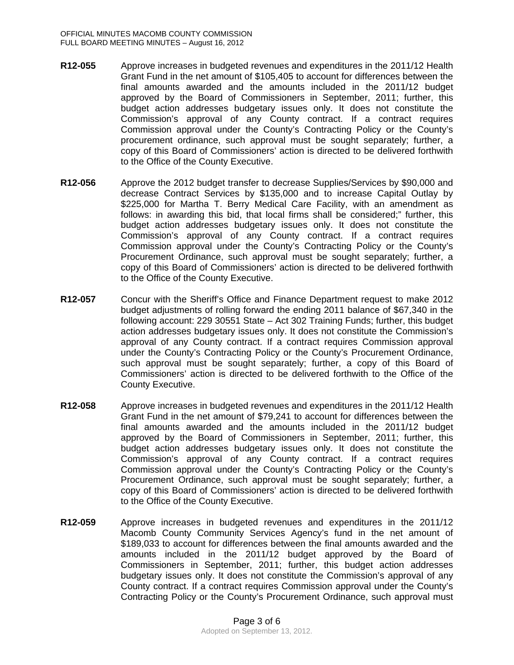- **R12-055** Approve increases in budgeted revenues and expenditures in the 2011/12 Health Grant Fund in the net amount of \$105,405 to account for differences between the final amounts awarded and the amounts included in the 2011/12 budget approved by the Board of Commissioners in September, 2011; further, this budget action addresses budgetary issues only. It does not constitute the Commission's approval of any County contract. If a contract requires Commission approval under the County's Contracting Policy or the County's procurement ordinance, such approval must be sought separately; further, a copy of this Board of Commissioners' action is directed to be delivered forthwith to the Office of the County Executive.
- **R12-056** Approve the 2012 budget transfer to decrease Supplies/Services by \$90,000 and decrease Contract Services by \$135,000 and to increase Capital Outlay by \$225,000 for Martha T. Berry Medical Care Facility, with an amendment as follows: in awarding this bid, that local firms shall be considered;" further, this budget action addresses budgetary issues only. It does not constitute the Commission's approval of any County contract. If a contract requires Commission approval under the County's Contracting Policy or the County's Procurement Ordinance, such approval must be sought separately; further, a copy of this Board of Commissioners' action is directed to be delivered forthwith to the Office of the County Executive.
- **R12-057** Concur with the Sheriff's Office and Finance Department request to make 2012 budget adjustments of rolling forward the ending 2011 balance of \$67,340 in the following account: 229 30551 State – Act 302 Training Funds; further, this budget action addresses budgetary issues only. It does not constitute the Commission's approval of any County contract. If a contract requires Commission approval under the County's Contracting Policy or the County's Procurement Ordinance, such approval must be sought separately; further, a copy of this Board of Commissioners' action is directed to be delivered forthwith to the Office of the County Executive.
- **R12-058** Approve increases in budgeted revenues and expenditures in the 2011/12 Health Grant Fund in the net amount of \$79,241 to account for differences between the final amounts awarded and the amounts included in the 2011/12 budget approved by the Board of Commissioners in September, 2011; further, this budget action addresses budgetary issues only. It does not constitute the Commission's approval of any County contract. If a contract requires Commission approval under the County's Contracting Policy or the County's Procurement Ordinance, such approval must be sought separately; further, a copy of this Board of Commissioners' action is directed to be delivered forthwith to the Office of the County Executive.
- **R12-059** Approve increases in budgeted revenues and expenditures in the 2011/12 Macomb County Community Services Agency's fund in the net amount of \$189,033 to account for differences between the final amounts awarded and the amounts included in the 2011/12 budget approved by the Board of Commissioners in September, 2011; further, this budget action addresses budgetary issues only. It does not constitute the Commission's approval of any County contract. If a contract requires Commission approval under the County's Contracting Policy or the County's Procurement Ordinance, such approval must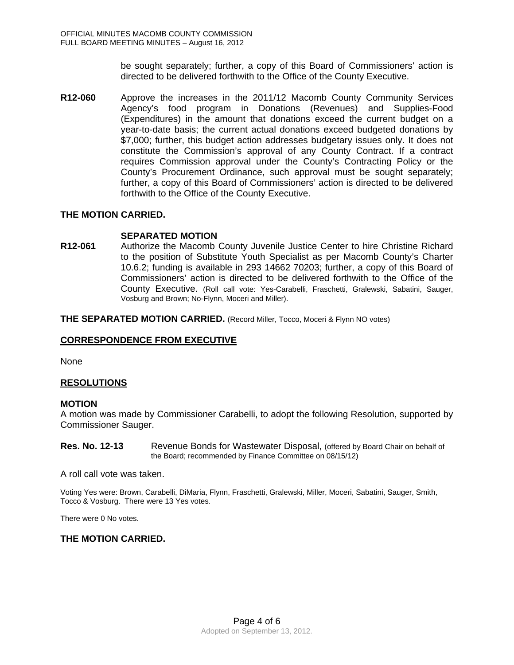be sought separately; further, a copy of this Board of Commissioners' action is directed to be delivered forthwith to the Office of the County Executive.

**R12-060** Approve the increases in the 2011/12 Macomb County Community Services Agency's food program in Donations (Revenues) and Supplies-Food (Expenditures) in the amount that donations exceed the current budget on a year-to-date basis; the current actual donations exceed budgeted donations by \$7,000; further, this budget action addresses budgetary issues only. It does not constitute the Commission's approval of any County Contract. If a contract requires Commission approval under the County's Contracting Policy or the County's Procurement Ordinance, such approval must be sought separately; further, a copy of this Board of Commissioners' action is directed to be delivered forthwith to the Office of the County Executive.

## **THE MOTION CARRIED.**

## **SEPARATED MOTION**

**R12-061** Authorize the Macomb County Juvenile Justice Center to hire Christine Richard to the position of Substitute Youth Specialist as per Macomb County's Charter 10.6.2; funding is available in 293 14662 70203; further, a copy of this Board of Commissioners' action is directed to be delivered forthwith to the Office of the County Executive. (Roll call vote: Yes-Carabelli, Fraschetti, Gralewski, Sabatini, Sauger, Vosburg and Brown; No-Flynn, Moceri and Miller).

**THE SEPARATED MOTION CARRIED.** (Record Miller, Tocco, Moceri & Flynn NO votes)

#### **CORRESPONDENCE FROM EXECUTIVE**

None

## **RESOLUTIONS**

#### **MOTION**

A motion was made by Commissioner Carabelli, to adopt the following Resolution, supported by Commissioner Sauger.

**Res. No. 12-13** Revenue Bonds for Wastewater Disposal, (offered by Board Chair on behalf of the Board; recommended by Finance Committee on 08/15/12)

A roll call vote was taken.

Voting Yes were: Brown, Carabelli, DiMaria, Flynn, Fraschetti, Gralewski, Miller, Moceri, Sabatini, Sauger, Smith, Tocco & Vosburg. There were 13 Yes votes.

There were 0 No votes.

#### **THE MOTION CARRIED.**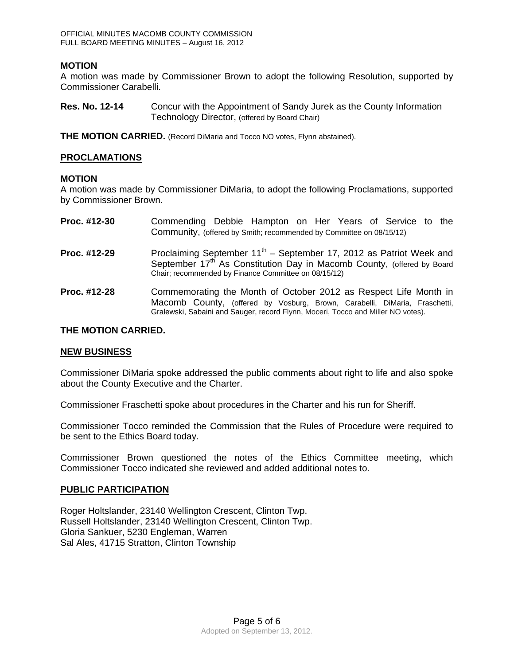## **MOTION**

A motion was made by Commissioner Brown to adopt the following Resolution, supported by Commissioner Carabelli.

**Res. No. 12-14** Concur with the Appointment of Sandy Jurek as the County Information Technology Director, (offered by Board Chair)

**THE MOTION CARRIED.** (Record DiMaria and Tocco NO votes, Flynn abstained).

### **PROCLAMATIONS**

#### **MOTION**

A motion was made by Commissioner DiMaria, to adopt the following Proclamations, supported by Commissioner Brown.

| Proc. #12-30 | Commending Debbie Hampton on Her Years of Service to the<br>Community, (offered by Smith; recommended by Committee on 08/15/12)                                                                                                    |
|--------------|------------------------------------------------------------------------------------------------------------------------------------------------------------------------------------------------------------------------------------|
| Proc. #12-29 | Proclaiming September $11^{th}$ – September 17, 2012 as Patriot Week and<br>September 17 <sup>th</sup> As Constitution Day in Macomb County, (offered by Board<br>Chair; recommended by Finance Committee on 08/15/12)             |
| Proc. #12-28 | Commemorating the Month of October 2012 as Respect Life Month in<br>Macomb County, (offered by Vosburg, Brown, Carabelli, DiMaria, Fraschetti,<br>Gralewski, Sabaini and Sauger, record Flynn, Moceri, Tocco and Miller NO votes). |

#### **THE MOTION CARRIED.**

#### **NEW BUSINESS**

Commissioner DiMaria spoke addressed the public comments about right to life and also spoke about the County Executive and the Charter.

Commissioner Fraschetti spoke about procedures in the Charter and his run for Sheriff.

Commissioner Tocco reminded the Commission that the Rules of Procedure were required to be sent to the Ethics Board today.

Commissioner Brown questioned the notes of the Ethics Committee meeting, which Commissioner Tocco indicated she reviewed and added additional notes to.

#### **PUBLIC PARTICIPATION**

Roger Holtslander, 23140 Wellington Crescent, Clinton Twp. Russell Holtslander, 23140 Wellington Crescent, Clinton Twp. Gloria Sankuer, 5230 Engleman, Warren Sal Ales, 41715 Stratton, Clinton Township